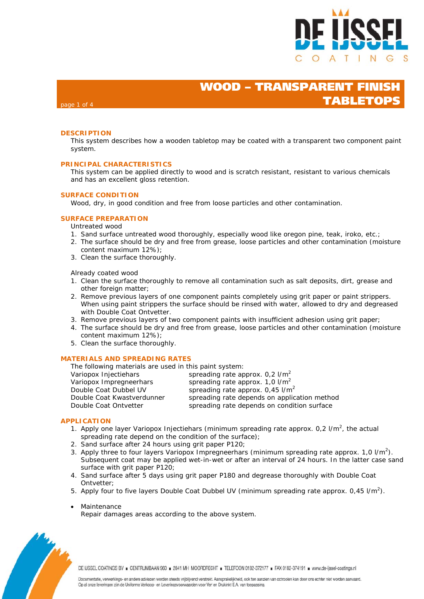

## **WOOD – TRANSPARENT FINISH TABLETOPS**

### page 1 of 4

### **DESCRIPTION**

This system describes how a wooden tabletop may be coated with a transparent two component paint system.

#### **PRINCIPAL CHARACTERISTICS**

This system can be applied directly to wood and is scratch resistant, resistant to various chemicals and has an excellent gloss retention.

### **SURFACE CONDITION**

Wood, dry, in good condition and free from loose particles and other contamination.

### **SURFACE PREPARATION**

Untreated wood

- 1. Sand surface untreated wood thoroughly, especially wood like oregon pine, teak, iroko, etc.;
- 2. The surface should be dry and free from grease, loose particles and other contamination (moisture content maximum 12%);
- 3. Clean the surface thoroughly.

Already coated wood

- 1. Clean the surface thoroughly to remove all contamination such as salt deposits, dirt, grease and other foreign matter;
- 2. Remove previous layers of one component paints completely using grit paper or paint strippers. When using paint strippers the surface should be rinsed with water, allowed to dry and degreased with Double Coat Ontvetter.
- 3. Remove previous layers of two component paints with insufficient adhesion using grit paper;
- 4. The surface should be dry and free from grease, loose particles and other contamination (moisture content maximum 12%);
- 5. Clean the surface thoroughly.

#### **MATERIALS AND SPREADING RATES**

The following materials are used in this paint system:

| in the following materials are assamily paint of storm |                                                |
|--------------------------------------------------------|------------------------------------------------|
| Variopox Injectiehars                                  | spreading rate approx. $0.2$ I/m <sup>2</sup>  |
| Variopox Impregneerhars                                | spreading rate approx. $1,0$ I/m <sup>2</sup>  |
| Double Coat Dubbel UV                                  | spreading rate approx. $0.45$ I/m <sup>2</sup> |
| Double Coat Kwastverdunner                             | spreading rate depends on application method   |
| Double Coat Ontvetter                                  | spreading rate depends on condition surface    |
|                                                        |                                                |

#### **APPLICATION**

- 1. Apply one layer Variopox Injectiehars (minimum spreading rate approx.  $0.2$  I/m<sup>2</sup>, the actual spreading rate depend on the condition of the surface);
- 2. Sand surface after 24 hours using grit paper P120;
- 3. Apply three to four layers Variopox Impregneerhars (minimum spreading rate approx. 1,0  $I/m^2$ ). Subsequent coat may be applied wet-in-wet or after an interval of 24 hours. In the latter case sand surface with grit paper P120;
- 4. Sand surface after 5 days using grit paper P180 and degrease thoroughly with Double Coat Ontvetter;
- 5. Apply four to five layers Double Coat Dubbel UV (minimum spreading rate approx.  $0.45$  I/m<sup>2</sup>).
- Maintenance

Repair damages areas according to the above system.



DE IJSSEL COATINGS BV E CENTRUMBAAN 960 = 2841 MH MOORDRECHT = TELEFOON 0182-372177 = FAX 0182-374191 = www.de-ijssel-coatings.nl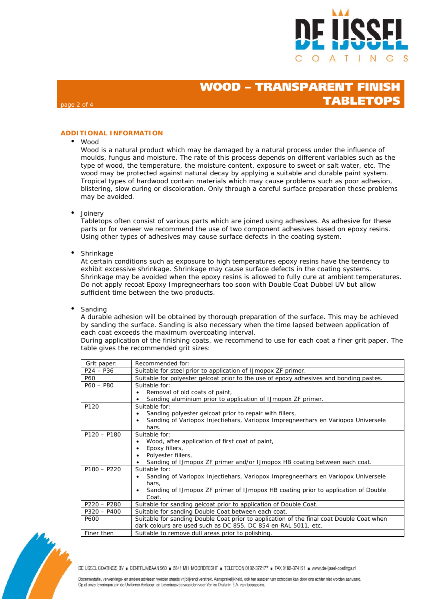

## **WOOD - TRANSPARENT FINIS TABLETOPS**

### **ADDITIONAL INFORMATION**

### Wood

page 2 of 4

Wood is a natural product which may be damaged by a natural process under the influence of moulds, fungus and moisture. The rate of this process depends on different variables such as the type of wood, the temperature, the moisture content, exposure to sweet or salt water, etc. The wood may be protected against natural decay by applying a suitable and durable paint system. Tropical types of hardwood contain materials which may cause problems such as poor adhesion, blistering, slow curing or discoloration. Only through a careful surface preparation these problems may be avoided.

• Joinery

Tabletops often consist of various parts which are joined using adhesives. As adhesive for these parts or for veneer we recommend the use of two component adhesives based on epoxy resins. Using other types of adhesives may cause surface defects in the coating system.

Shrinkage

At certain conditions such as exposure to high temperatures epoxy resins have the tendency to exhibit excessive shrinkage. Shrinkage may cause surface defects in the coating systems. Shrinkage may be avoided when the epoxy resins is allowed to fully cure at ambient temperatures. Do not apply recoat Epoxy Impregneerhars too soon with Double Coat Dubbel UV but allow sufficient time between the two products.

Sanding

A durable adhesion will be obtained by thorough preparation of the surface. This may be achieved by sanding the surface. Sanding is also necessary when the time lapsed between application of each coat exceeds the maximum overcoating interval.

During application of the finishing coats, we recommend to use for each coat a finer grit paper. The table gives the recommended grit sizes:

| Grit paper:   | Recommended for:                                                                         |
|---------------|------------------------------------------------------------------------------------------|
| $P24 - P36$   | Suitable for steel prior to application of IJmopox ZF primer.                            |
| P60           | Suitable for polyester gelcoat prior to the use of epoxy adhesives and bonding pastes.   |
| $P60 - P80$   | Suitable for:                                                                            |
|               | Removal of old coats of paint,                                                           |
|               | Sanding aluminium prior to application of IJmopox ZF primer.                             |
| P120          | Suitable for:                                                                            |
|               | Sanding polyester gelcoat prior to repair with fillers,                                  |
|               | Sanding of Variopox Injectiehars, Variopox Impregneerhars en Variopox Universele         |
|               | hars.                                                                                    |
| $P120 - P180$ | Suitable for:                                                                            |
|               | Wood, after application of first coat of paint,                                          |
|               | Epoxy fillers,                                                                           |
|               | Polyester fillers,                                                                       |
|               | Sanding of IJmopox ZF primer and/or IJmopox HB coating between each coat.                |
| $P180 - P220$ | Suitable for:                                                                            |
|               | Sanding of Variopox Injectiehars, Variopox Impregneerhars en Variopox Universele         |
|               | hars,                                                                                    |
|               | Sanding of IJmopox ZF primer of IJmopox HB coating prior to application of Double        |
|               | Coat.                                                                                    |
| $P220 - P280$ | Suitable for sanding gelcoat prior to application of Double Coat.                        |
| $P320 - P400$ | Suitable for sanding Double Coat between each coat.                                      |
| P600          | Suitable for sanding Double Coat prior to application of the final coat Double Coat when |
|               | dark colours are used such as DC 855, DC 854 en RAL 5011, etc.                           |
| Finer then    | Suitable to remove dull areas prior to polishing.                                        |

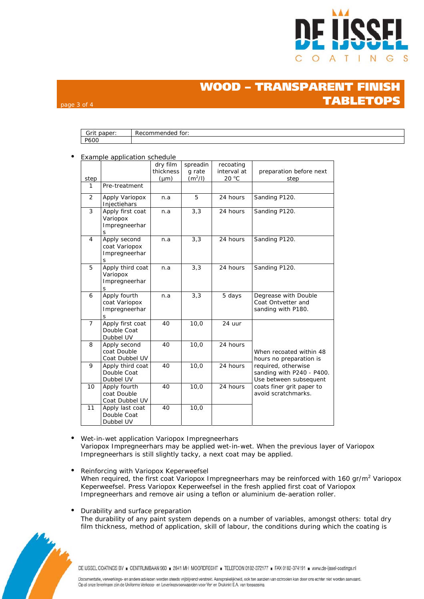

# **WOOD - TRANSPARENT FINI TABLET**

### Grit paper: Recommended for: P600

#### • Example application schedule

page 3 of 4

|                |                                                     | dry film  | spreadin  | recoating   |                                                                                                                                |  |  |
|----------------|-----------------------------------------------------|-----------|-----------|-------------|--------------------------------------------------------------------------------------------------------------------------------|--|--|
|                |                                                     | thickness | g rate    | interval at | preparation before next                                                                                                        |  |  |
| step           |                                                     | $(\mu m)$ | $(m^2/l)$ | 20 °C       | step                                                                                                                           |  |  |
| 1              | Pre-treatment                                       |           |           |             |                                                                                                                                |  |  |
| 2              | Apply Variopox<br>Injectiehars                      | n.a       | 5         | 24 hours    | Sanding P120.                                                                                                                  |  |  |
| 3              | Apply first coat<br>Variopox<br>Impregneerhar<br>S  | n.a       | 3,3       | 24 hours    | Sanding P120.                                                                                                                  |  |  |
| $\overline{4}$ | Apply second<br>coat Variopox<br>Impregneerhar<br>S | n.a       | 3,3       | 24 hours    | Sanding P120.                                                                                                                  |  |  |
| 5              | Apply third coat<br>Variopox<br>Impregneerhar<br>S  | n.a       | 3,3       | 24 hours    | Sanding P120.                                                                                                                  |  |  |
| 6              | Apply fourth<br>coat Variopox<br>Impregneerhar<br>S | n.a       | 3,3       | 5 days      | Degrease with Double<br>Coat Ontvetter and<br>sanding with P180.                                                               |  |  |
| $\overline{7}$ | Apply first coat<br>Double Coat<br>Dubbel UV        | 40        | 10,0      | 24 uur      |                                                                                                                                |  |  |
| 8              | Apply second<br>coat Double<br>Coat Dubbel UV       | 40        | 10,0      | 24 hours    | When recoated within 48<br>hours no preparation is                                                                             |  |  |
| 9              | Apply third coat<br>Double Coat<br>Dubbel UV        | 40        | 10,0      | 24 hours    | required, otherwise<br>sanding with P240 - P400.<br>Use between subsequent<br>coats finer grit paper to<br>avoid scratchmarks. |  |  |
| 10             | Apply fourth<br>coat Double<br>Coat Dubbel UV       | 40        | 10,0      | 24 hours    |                                                                                                                                |  |  |
| 11             | Apply last coat<br>Double Coat<br>Dubbel UV         | 40        | 10,0      |             |                                                                                                                                |  |  |

- Wet-in-wet application Variopox Impregneerhars Variopox Impregneerhars may be applied wet-in-wet. When the previous layer of Variopox Impregneerhars is still slightly tacky, a next coat may be applied.
- Reinforcing with Variopox Keperweefsel When required, the first coat Variopox Impregneerhars may be reinforced with 160 gr/m<sup>2</sup> Variopox Keperweefsel. Press Variopox Keperweefsel in the fresh applied first coat of Variopox Impregneerhars and remove air using a teflon or aluminium de-aeration roller.
- Durability and surface preparation The durability of any paint system depends on a number of variables, amongst others: total dry film thickness, method of application, skill of labour, the conditions during which the coating is



DE IJSSEL COATINGS BV E CENTRUMBAAN 960 = 2841 MH MOORDRECHT = TELEFOON 0182-372177 = FAX 0182-374191 = www.de-ijssel-coatings.nl